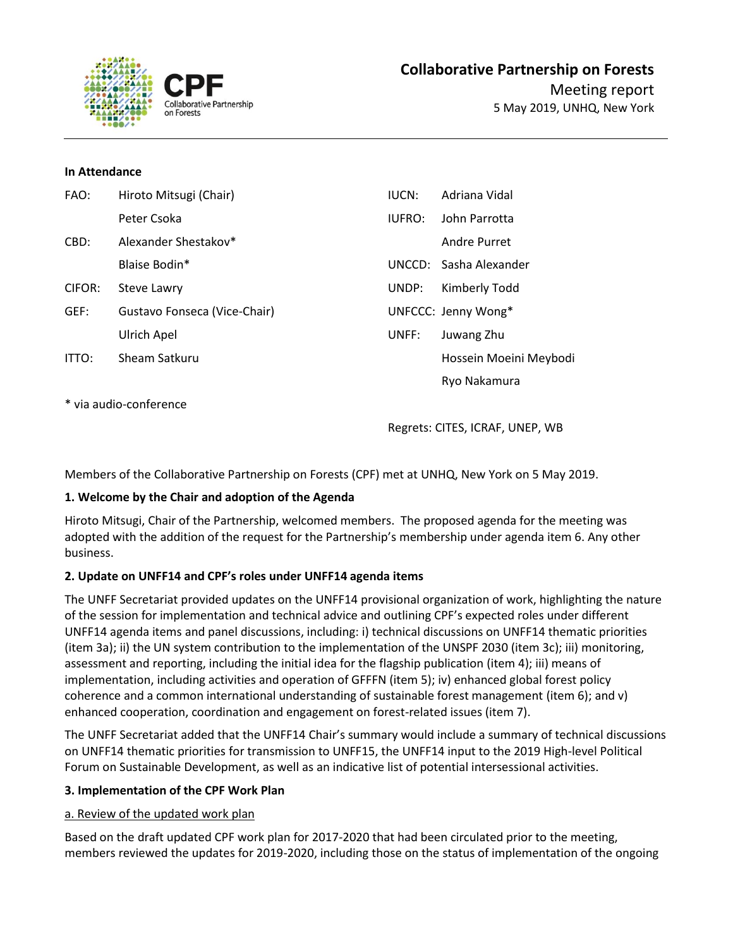

#### **In Attendance**

| FAO:         | Hiroto Mitsugi (Chair)       | IUCN:  | Adriana Vidal          |
|--------------|------------------------------|--------|------------------------|
|              | Peter Csoka                  | IUFRO: | John Parrotta          |
| CBD:         | Alexander Shestakov*         |        | Andre Purret           |
|              | Blaise Bodin*                |        | UNCCD: Sasha Alexander |
| CIFOR:       | Steve Lawry                  | UNDP:  | Kimberly Todd          |
| GEF:         | Gustavo Fonseca (Vice-Chair) |        | UNFCCC: Jenny Wong*    |
|              | Ulrich Apel                  | UNFF:  | Juwang Zhu             |
| <b>ITTO:</b> | Sheam Satkuru                |        | Hossein Moeini Meybodi |
|              |                              |        | Ryo Nakamura           |

\* via audio-conference

Regrets: CITES, ICRAF, UNEP, WB

Members of the Collaborative Partnership on Forests (CPF) met at UNHQ, New York on 5 May 2019.

# **1. Welcome by the Chair and adoption of the Agenda**

Hiroto Mitsugi, Chair of the Partnership, welcomed members. The proposed agenda for the meeting was adopted with the addition of the request for the Partnership's membership under agenda item 6. Any other business.

# **2. Update on UNFF14 and CPF's roles under UNFF14 agenda items**

The UNFF Secretariat provided updates on the UNFF14 provisional organization of work, highlighting the nature of the session for implementation and technical advice and outlining CPF's expected roles under different UNFF14 agenda items and panel discussions, including: i) technical discussions on UNFF14 thematic priorities (item 3a); ii) the UN system contribution to the implementation of the UNSPF 2030 (item 3c); iii) monitoring, assessment and reporting, including the initial idea for the flagship publication (item 4); iii) means of implementation, including activities and operation of GFFFN (item 5); iv) enhanced global forest policy coherence and a common international understanding of sustainable forest management (item 6); and v) enhanced cooperation, coordination and engagement on forest-related issues (item 7).

The UNFF Secretariat added that the UNFF14 Chair's summary would include a summary of technical discussions on UNFF14 thematic priorities for transmission to UNFF15, the UNFF14 input to the 2019 High-level Political Forum on Sustainable Development, as well as an indicative list of potential intersessional activities.

# **3. Implementation of the CPF Work Plan**

# a. Review of the updated work plan

Based on the draft updated CPF work plan for 2017-2020 that had been circulated prior to the meeting, members reviewed the updates for 2019-2020, including those on the status of implementation of the ongoing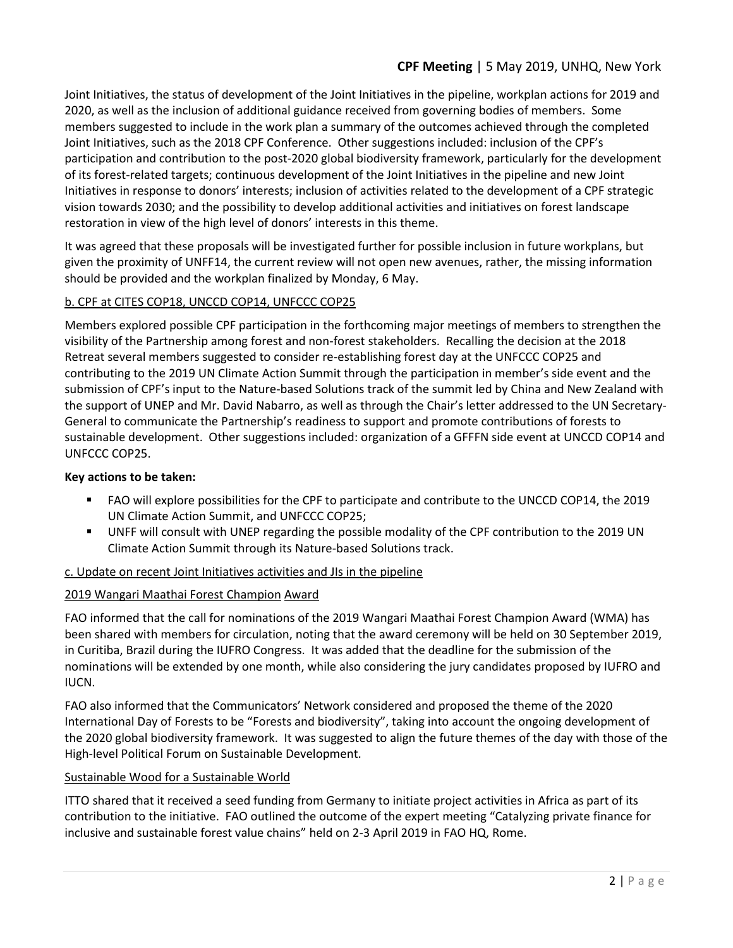# **CPF Meeting** | 5 May 2019, UNHQ, New York

Joint Initiatives, the status of development of the Joint Initiatives in the pipeline, workplan actions for 2019 and 2020, as well as the inclusion of additional guidance received from governing bodies of members. Some members suggested to include in the work plan a summary of the outcomes achieved through the completed Joint Initiatives, such as the 2018 CPF Conference. Other suggestions included: inclusion of the CPF's participation and contribution to the post-2020 global biodiversity framework, particularly for the development of its forest-related targets; continuous development of the Joint Initiatives in the pipeline and new Joint Initiatives in response to donors' interests; inclusion of activities related to the development of a CPF strategic vision towards 2030; and the possibility to develop additional activities and initiatives on forest landscape restoration in view of the high level of donors' interests in this theme.

It was agreed that these proposals will be investigated further for possible inclusion in future workplans, but given the proximity of UNFF14, the current review will not open new avenues, rather, the missing information should be provided and the workplan finalized by Monday, 6 May.

# b. CPF at CITES COP18, UNCCD COP14, UNFCCC COP25

Members explored possible CPF participation in the forthcoming major meetings of members to strengthen the visibility of the Partnership among forest and non-forest stakeholders. Recalling the decision at the 2018 Retreat several members suggested to consider re-establishing forest day at the UNFCCC COP25 and contributing to the 2019 UN Climate Action Summit through the participation in member's side event and the submission of CPF's input to the Nature-based Solutions track of the summit led by China and New Zealand with the support of UNEP and Mr. David Nabarro, as well as through the Chair's letter addressed to the UN Secretary-General to communicate the Partnership's readiness to support and promote contributions of forests to sustainable development. Other suggestions included: organization of a GFFFN side event at UNCCD COP14 and UNFCCC COP25.

# **Key actions to be taken:**

- FAO will explore possibilities for the CPF to participate and contribute to the UNCCD COP14, the 2019 UN Climate Action Summit, and UNFCCC COP25;
- UNFF will consult with UNEP regarding the possible modality of the CPF contribution to the 2019 UN Climate Action Summit through its Nature-based Solutions track.

# c. Update on recent Joint Initiatives activities and JIs in the pipeline

# 2019 Wangari Maathai Forest Champion Award

FAO informed that the call for nominations of the 2019 Wangari Maathai Forest Champion Award (WMA) has been shared with members for circulation, noting that the award ceremony will be held on 30 September 2019, in Curitiba, Brazil during the IUFRO Congress. It was added that the deadline for the submission of the nominations will be extended by one month, while also considering the jury candidates proposed by IUFRO and IUCN.

FAO also informed that the Communicators' Network considered and proposed the theme of the 2020 International Day of Forests to be "Forests and biodiversity", taking into account the ongoing development of the 2020 global biodiversity framework. It was suggested to align the future themes of the day with those of the High-level Political Forum on Sustainable Development.

# Sustainable Wood for a Sustainable World

ITTO shared that it received a seed funding from Germany to initiate project activities in Africa as part of its contribution to the initiative. FAO outlined the outcome of the expert meeting "Catalyzing private finance for inclusive and sustainable forest value chains" held on 2-3 April 2019 in FAO HQ, Rome.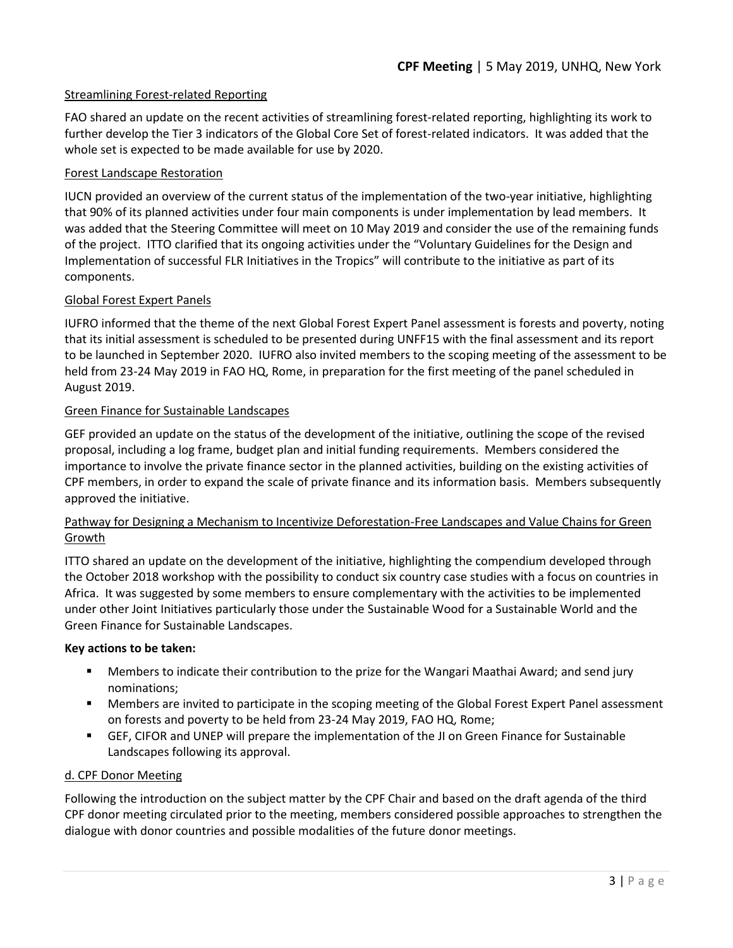### Streamlining Forest-related Reporting

FAO shared an update on the recent activities of streamlining forest-related reporting, highlighting its work to further develop the Tier 3 indicators of the Global Core Set of forest-related indicators. It was added that the whole set is expected to be made available for use by 2020.

### Forest Landscape Restoration

IUCN provided an overview of the current status of the implementation of the two-year initiative, highlighting that 90% of its planned activities under four main components is under implementation by lead members. It was added that the Steering Committee will meet on 10 May 2019 and consider the use of the remaining funds of the project. ITTO clarified that its ongoing activities under the "Voluntary Guidelines for the Design and Implementation of successful FLR Initiatives in the Tropics" will contribute to the initiative as part of its components.

# Global Forest Expert Panels

IUFRO informed that the theme of the next Global Forest Expert Panel assessment is forests and poverty, noting that its initial assessment is scheduled to be presented during UNFF15 with the final assessment and its report to be launched in September 2020. IUFRO also invited members to the scoping meeting of the assessment to be held from 23-24 May 2019 in FAO HQ, Rome, in preparation for the first meeting of the panel scheduled in August 2019.

### Green Finance for Sustainable Landscapes

GEF provided an update on the status of the development of the initiative, outlining the scope of the revised proposal, including a log frame, budget plan and initial funding requirements. Members considered the importance to involve the private finance sector in the planned activities, building on the existing activities of CPF members, in order to expand the scale of private finance and its information basis. Members subsequently approved the initiative.

# Pathway for Designing a Mechanism to Incentivize Deforestation-Free Landscapes and Value Chains for Green Growth

ITTO shared an update on the development of the initiative, highlighting the compendium developed through the October 2018 workshop with the possibility to conduct six country case studies with a focus on countries in Africa. It was suggested by some members to ensure complementary with the activities to be implemented under other Joint Initiatives particularly those under the Sustainable Wood for a Sustainable World and the Green Finance for Sustainable Landscapes.

#### **Key actions to be taken:**

- Members to indicate their contribution to the prize for the Wangari Maathai Award; and send jury nominations;
- Members are invited to participate in the scoping meeting of the Global Forest Expert Panel assessment on forests and poverty to be held from 23-24 May 2019, FAO HQ, Rome;
- GEF, CIFOR and UNEP will prepare the implementation of the JI on Green Finance for Sustainable Landscapes following its approval.

#### d. CPF Donor Meeting

Following the introduction on the subject matter by the CPF Chair and based on the draft agenda of the third CPF donor meeting circulated prior to the meeting, members considered possible approaches to strengthen the dialogue with donor countries and possible modalities of the future donor meetings.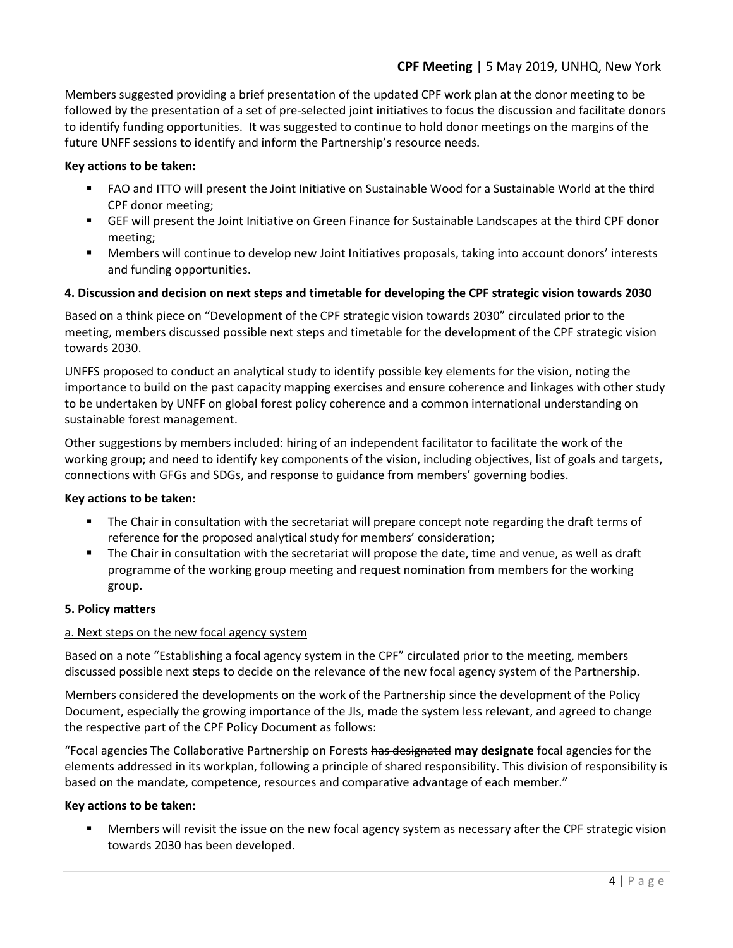# **CPF Meeting** | 5 May 2019, UNHQ, New York

Members suggested providing a brief presentation of the updated CPF work plan at the donor meeting to be followed by the presentation of a set of pre-selected joint initiatives to focus the discussion and facilitate donors to identify funding opportunities. It was suggested to continue to hold donor meetings on the margins of the future UNFF sessions to identify and inform the Partnership's resource needs.

### **Key actions to be taken:**

- FAO and ITTO will present the Joint Initiative on Sustainable Wood for a Sustainable World at the third CPF donor meeting;
- GEF will present the Joint Initiative on Green Finance for Sustainable Landscapes at the third CPF donor meeting;
- Members will continue to develop new Joint Initiatives proposals, taking into account donors' interests and funding opportunities.

### **4. Discussion and decision on next steps and timetable for developing the CPF strategic vision towards 2030**

Based on a think piece on "Development of the CPF strategic vision towards 2030" circulated prior to the meeting, members discussed possible next steps and timetable for the development of the CPF strategic vision towards 2030.

UNFFS proposed to conduct an analytical study to identify possible key elements for the vision, noting the importance to build on the past capacity mapping exercises and ensure coherence and linkages with other study to be undertaken by UNFF on global forest policy coherence and a common international understanding on sustainable forest management.

Other suggestions by members included: hiring of an independent facilitator to facilitate the work of the working group; and need to identify key components of the vision, including objectives, list of goals and targets, connections with GFGs and SDGs, and response to guidance from members' governing bodies.

#### **Key actions to be taken:**

- The Chair in consultation with the secretariat will prepare concept note regarding the draft terms of reference for the proposed analytical study for members' consideration;
- The Chair in consultation with the secretariat will propose the date, time and venue, as well as draft programme of the working group meeting and request nomination from members for the working group.

#### **5. Policy matters**

#### a. Next steps on the new focal agency system

Based on a note "Establishing a focal agency system in the CPF" circulated prior to the meeting, members discussed possible next steps to decide on the relevance of the new focal agency system of the Partnership.

Members considered the developments on the work of the Partnership since the development of the Policy Document, especially the growing importance of the JIs, made the system less relevant, and agreed to change the respective part of the CPF Policy Document as follows:

"Focal agencies The Collaborative Partnership on Forests has designated **may designate** focal agencies for the elements addressed in its workplan, following a principle of shared responsibility. This division of responsibility is based on the mandate, competence, resources and comparative advantage of each member."

#### **Key actions to be taken:**

Members will revisit the issue on the new focal agency system as necessary after the CPF strategic vision towards 2030 has been developed.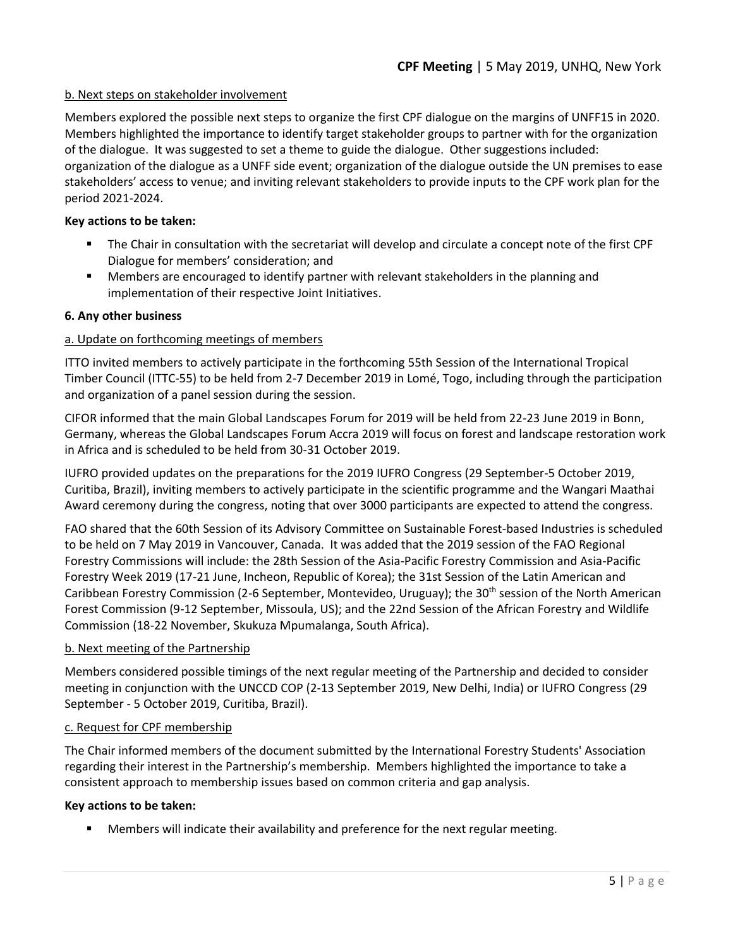### b. Next steps on stakeholder involvement

Members explored the possible next steps to organize the first CPF dialogue on the margins of UNFF15 in 2020. Members highlighted the importance to identify target stakeholder groups to partner with for the organization of the dialogue. It was suggested to set a theme to guide the dialogue. Other suggestions included: organization of the dialogue as a UNFF side event; organization of the dialogue outside the UN premises to ease stakeholders' access to venue; and inviting relevant stakeholders to provide inputs to the CPF work plan for the period 2021-2024.

### **Key actions to be taken:**

- The Chair in consultation with the secretariat will develop and circulate a concept note of the first CPF Dialogue for members' consideration; and
- Members are encouraged to identify partner with relevant stakeholders in the planning and implementation of their respective Joint Initiatives.

#### **6. Any other business**

### a. Update on forthcoming meetings of members

ITTO invited members to actively participate in the forthcoming 55th Session of the International Tropical Timber Council (ITTC-55) to be held from 2-7 December 2019 in Lomé, Togo, including through the participation and organization of a panel session during the session.

CIFOR informed that the main Global Landscapes Forum for 2019 will be held from 22-23 June 2019 in Bonn, Germany, whereas the Global Landscapes Forum Accra 2019 will focus on forest and landscape restoration work in Africa and is scheduled to be held from 30-31 October 2019.

IUFRO provided updates on the preparations for the 2019 IUFRO Congress (29 September-5 October 2019, Curitiba, Brazil), inviting members to actively participate in the scientific programme and the Wangari Maathai Award ceremony during the congress, noting that over 3000 participants are expected to attend the congress.

FAO shared that the 60th Session of its Advisory Committee on Sustainable Forest-based Industries is scheduled to be held on 7 May 2019 in Vancouver, Canada. It was added that the 2019 session of the FAO Regional Forestry Commissions will include: the 28th Session of the Asia-Pacific Forestry Commission and Asia-Pacific Forestry Week 2019 (17-21 June, Incheon, Republic of Korea); the 31st Session of the Latin American and Caribbean Forestry Commission (2-6 September, Montevideo, Uruguay); the 30<sup>th</sup> session of the North American Forest Commission (9-12 September, Missoula, US); and the 22nd Session of the African Forestry and Wildlife Commission (18-22 November, Skukuza Mpumalanga, South Africa).

#### b. Next meeting of the Partnership

Members considered possible timings of the next regular meeting of the Partnership and decided to consider meeting in conjunction with the UNCCD COP (2-13 September 2019, New Delhi, India) or IUFRO Congress (29 September - 5 October 2019, Curitiba, Brazil).

#### c. Request for CPF membership

The Chair informed members of the document submitted by the International Forestry Students' Association regarding their interest in the Partnership's membership. Members highlighted the importance to take a consistent approach to membership issues based on common criteria and gap analysis.

#### **Key actions to be taken:**

Members will indicate their availability and preference for the next regular meeting.